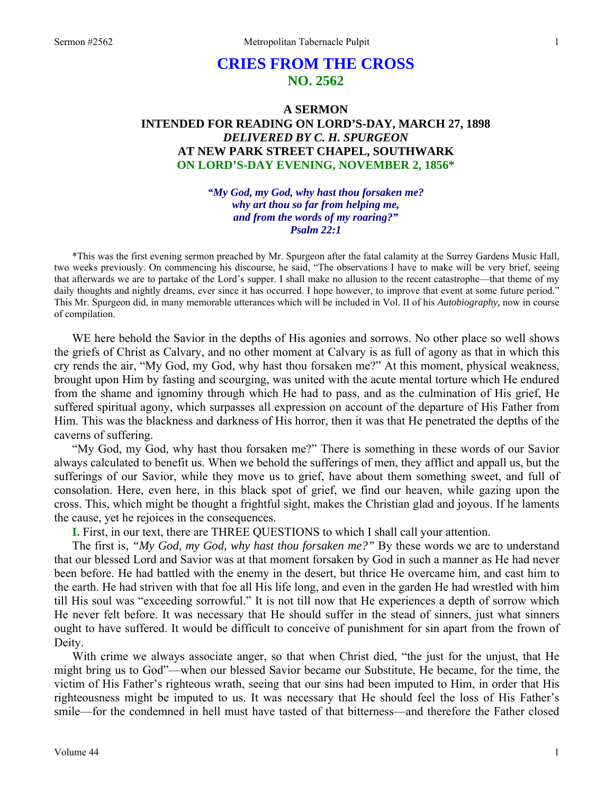# **CRIES FROM THE CROSS NO. 2562**

## **A SERMON INTENDED FOR READING ON LORD'S-DAY, MARCH 27, 1898**  *DELIVERED BY C. H. SPURGEON*  **AT NEW PARK STREET CHAPEL, SOUTHWARK ON LORD'S-DAY EVENING, NOVEMBER 2, 1856\***

*"My God, my God, why hast thou forsaken me? why art thou so far from helping me, and from the words of my roaring?" Psalm 22:1* 

\*This was the first evening sermon preached by Mr. Spurgeon after the fatal calamity at the Surrey Gardens Music Hall, two weeks previously. On commencing his discourse, he said, "The observations I have to make will be very brief, seeing that afterwards we are to partake of the Lord's supper. I shall make no allusion to the recent catastrophe—that theme of my daily thoughts and nightly dreams, ever since it has occurred. I hope however, to improve that event at some future period." This Mr. Spurgeon did, in many memorable utterances which will be included in Vol. II of his *Autobiography,* now in course of compilation.

WE here behold the Savior in the depths of His agonies and sorrows. No other place so well shows the griefs of Christ as Calvary, and no other moment at Calvary is as full of agony as that in which this cry rends the air, "My God, my God, why hast thou forsaken me?" At this moment, physical weakness, brought upon Him by fasting and scourging, was united with the acute mental torture which He endured from the shame and ignominy through which He had to pass, and as the culmination of His grief, He suffered spiritual agony, which surpasses all expression on account of the departure of His Father from Him. This was the blackness and darkness of His horror, then it was that He penetrated the depths of the caverns of suffering.

"My God, my God, why hast thou forsaken me?" There is something in these words of our Savior always calculated to benefit us. When we behold the sufferings of men, they afflict and appall us, but the sufferings of our Savior, while they move us to grief, have about them something sweet, and full of consolation. Here, even here, in this black spot of grief, we find our heaven, while gazing upon the cross. This, which might be thought a frightful sight, makes the Christian glad and joyous. If he laments the cause, yet he rejoices in the consequences.

**I.** First, in our text, there are THREE QUESTIONS to which I shall call your attention.

The first is, *"My God, my God, why hast thou forsaken me?"* By these words we are to understand that our blessed Lord and Savior was at that moment forsaken by God in such a manner as He had never been before. He had battled with the enemy in the desert, but thrice He overcame him, and cast him to the earth. He had striven with that foe all His life long, and even in the garden He had wrestled with him till His soul was "exceeding sorrowful." It is not till now that He experiences a depth of sorrow which He never felt before. It was necessary that He should suffer in the stead of sinners, just what sinners ought to have suffered. It would be difficult to conceive of punishment for sin apart from the frown of Deity.

With crime we always associate anger, so that when Christ died, "the just for the unjust, that He might bring us to God"—when our blessed Savior became our Substitute, He became, for the time, the victim of His Father's righteous wrath, seeing that our sins had been imputed to Him, in order that His righteousness might be imputed to us. It was necessary that He should feel the loss of His Father's smile—for the condemned in hell must have tasted of that bitterness—and therefore the Father closed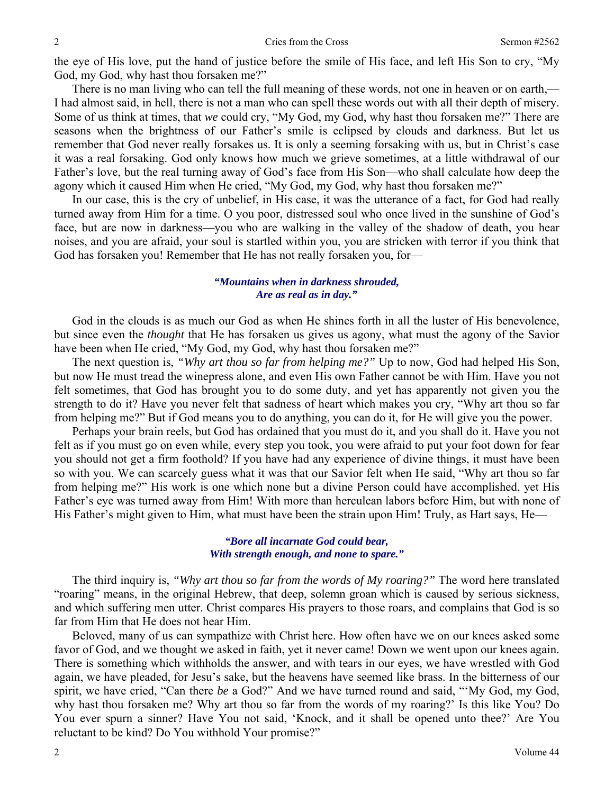the eye of His love, put the hand of justice before the smile of His face, and left His Son to cry, "My God, my God, why hast thou forsaken me?"

There is no man living who can tell the full meaning of these words, not one in heaven or on earth,— I had almost said, in hell, there is not a man who can spell these words out with all their depth of misery. Some of us think at times, that *we* could cry, "My God, my God, why hast thou forsaken me?" There are seasons when the brightness of our Father's smile is eclipsed by clouds and darkness. But let us remember that God never really forsakes us. It is only a seeming forsaking with us, but in Christ's case it was a real forsaking. God only knows how much we grieve sometimes, at a little withdrawal of our Father's love, but the real turning away of God's face from His Son—who shall calculate how deep the agony which it caused Him when He cried, "My God, my God, why hast thou forsaken me?"

In our case, this is the cry of unbelief, in His case, it was the utterance of a fact, for God had really turned away from Him for a time. O you poor, distressed soul who once lived in the sunshine of God's face, but are now in darkness—you who are walking in the valley of the shadow of death, you hear noises, and you are afraid, your soul is startled within you, you are stricken with terror if you think that God has forsaken you! Remember that He has not really forsaken you, for—

### *"Mountains when in darkness shrouded, Are as real as in day."*

God in the clouds is as much our God as when He shines forth in all the luster of His benevolence, but since even the *thought* that He has forsaken us gives us agony, what must the agony of the Savior have been when He cried, "My God, my God, why hast thou forsaken me?"

The next question is, *"Why art thou so far from helping me?"* Up to now, God had helped His Son, but now He must tread the winepress alone, and even His own Father cannot be with Him. Have you not felt sometimes, that God has brought you to do some duty, and yet has apparently not given you the strength to do it? Have you never felt that sadness of heart which makes you cry, "Why art thou so far from helping me?" But if God means you to do anything, you can do it, for He will give you the power.

Perhaps your brain reels, but God has ordained that you must do it, and you shall do it. Have you not felt as if you must go on even while, every step you took, you were afraid to put your foot down for fear you should not get a firm foothold? If you have had any experience of divine things, it must have been so with you. We can scarcely guess what it was that our Savior felt when He said, "Why art thou so far from helping me?" His work is one which none but a divine Person could have accomplished, yet His Father's eye was turned away from Him! With more than herculean labors before Him, but with none of His Father's might given to Him, what must have been the strain upon Him! Truly, as Hart says, He—

#### *"Bore all incarnate God could bear, With strength enough, and none to spare."*

The third inquiry is, *"Why art thou so far from the words of My roaring?"* The word here translated "roaring" means, in the original Hebrew, that deep, solemn groan which is caused by serious sickness, and which suffering men utter. Christ compares His prayers to those roars, and complains that God is so far from Him that He does not hear Him.

Beloved, many of us can sympathize with Christ here. How often have we on our knees asked some favor of God, and we thought we asked in faith, yet it never came! Down we went upon our knees again. There is something which withholds the answer, and with tears in our eyes, we have wrestled with God again, we have pleaded, for Jesu's sake, but the heavens have seemed like brass. In the bitterness of our spirit, we have cried, "Can there *be* a God?" And we have turned round and said, "'My God, my God, why hast thou forsaken me? Why art thou so far from the words of my roaring?' Is this like You? Do You ever spurn a sinner? Have You not said, 'Knock, and it shall be opened unto thee?' Are You reluctant to be kind? Do You withhold Your promise?"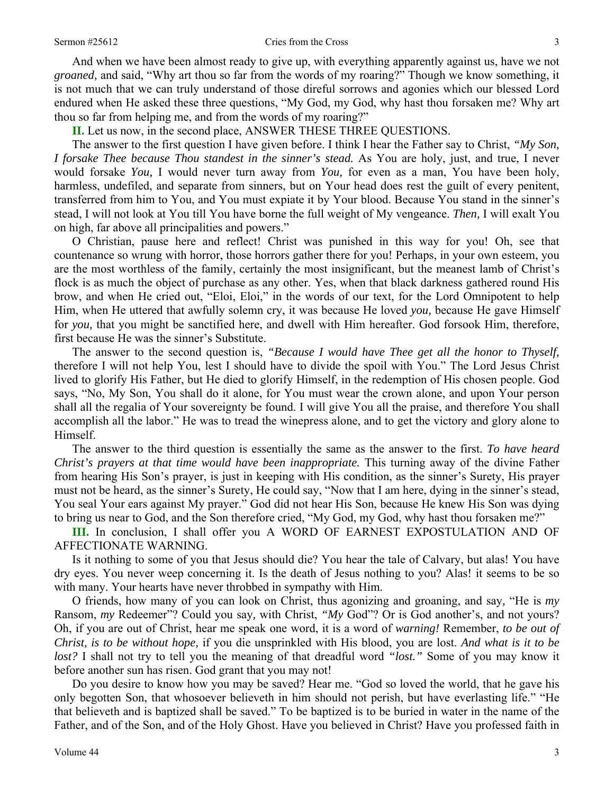#### Sermon #25612 Cries from the Cross 3

And when we have been almost ready to give up, with everything apparently against us, have we not *groaned,* and said, "Why art thou so far from the words of my roaring?" Though we know something, it is not much that we can truly understand of those direful sorrows and agonies which our blessed Lord endured when He asked these three questions, "My God, my God, why hast thou forsaken me? Why art thou so far from helping me, and from the words of my roaring?"

**II.** Let us now, in the second place, ANSWER THESE THREE QUESTIONS.

The answer to the first question I have given before. I think I hear the Father say to Christ, *"My Son, I forsake Thee because Thou standest in the sinner's stead.* As You are holy, just, and true, I never would forsake *You,* I would never turn away from *You,* for even as a man, You have been holy, harmless, undefiled, and separate from sinners, but on Your head does rest the guilt of every penitent, transferred from him to You, and You must expiate it by Your blood. Because You stand in the sinner's stead, I will not look at You till You have borne the full weight of My vengeance. *Then,* I will exalt You on high, far above all principalities and powers."

O Christian, pause here and reflect! Christ was punished in this way for you! Oh, see that countenance so wrung with horror, those horrors gather there for you! Perhaps, in your own esteem, you are the most worthless of the family, certainly the most insignificant, but the meanest lamb of Christ's flock is as much the object of purchase as any other. Yes, when that black darkness gathered round His brow, and when He cried out, "Eloi, Eloi," in the words of our text, for the Lord Omnipotent to help Him, when He uttered that awfully solemn cry, it was because He loved *you,* because He gave Himself for *you,* that you might be sanctified here, and dwell with Him hereafter. God forsook Him, therefore, first because He was the sinner's Substitute.

The answer to the second question is, *"Because I would have Thee get all the honor to Thyself,*  therefore I will not help You, lest I should have to divide the spoil with You." The Lord Jesus Christ lived to glorify His Father, but He died to glorify Himself, in the redemption of His chosen people. God says, "No, My Son, You shall do it alone, for You must wear the crown alone, and upon Your person shall all the regalia of Your sovereignty be found. I will give You all the praise, and therefore You shall accomplish all the labor." He was to tread the winepress alone, and to get the victory and glory alone to Himself.

The answer to the third question is essentially the same as the answer to the first. *To have heard Christ's prayers at that time would have been inappropriate. This turning away of the divine Father* from hearing His Son's prayer, is just in keeping with His condition, as the sinner's Surety, His prayer must not be heard, as the sinner's Surety, He could say, "Now that I am here, dying in the sinner's stead, You seal Your ears against My prayer." God did not hear His Son, because He knew His Son was dying to bring us near to God, and the Son therefore cried, "My God, my God, why hast thou forsaken me?"

**III.** In conclusion, I shall offer you A WORD OF EARNEST EXPOSTULATION AND OF AFFECTIONATE WARNING.

Is it nothing to some of you that Jesus should die? You hear the tale of Calvary, but alas! You have dry eyes. You never weep concerning it. Is the death of Jesus nothing to you? Alas! it seems to be so with many. Your hearts have never throbbed in sympathy with Him.

O friends, how many of you can look on Christ, thus agonizing and groaning, and say*,* "He is *my* Ransom, *my* Redeemer"? Could you say*,* with Christ, *"My* God"? Or is God another's, and not yours? Oh, if you are out of Christ, hear me speak one word, it is a word of *warning!* Remember, *to be out of Christ, is to be without hope,* if you die unsprinkled with His blood, you are lost. *And what is it to be lost?* I shall not try to tell you the meaning of that dreadful word *"lost."* Some of you may know it before another sun has risen. God grant that you may not!

Do you desire to know how you may be saved? Hear me. "God so loved the world, that he gave his only begotten Son, that whosoever believeth in him should not perish, but have everlasting life." "He that believeth and is baptized shall be saved." To be baptized is to be buried in water in the name of the Father, and of the Son, and of the Holy Ghost. Have you believed in Christ? Have you professed faith in